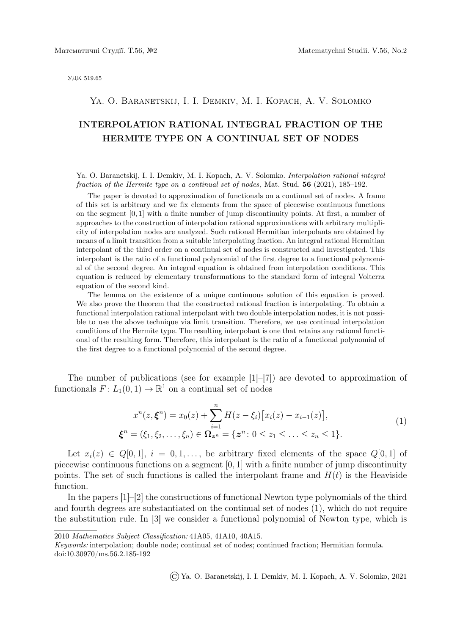УДК 519.65

## Ya. O. Baranetskij, I. I. Demkiv, M. I. Kopach, A. V. Solomko

## INTERPOLATION RATIONAL INTEGRAL FRACTION OF THE HERMITE TYPE ON A CONTINUAL SET OF NODES

Ya. O. Baranetskij, I. I. Demkiv, M. I. Kopach, A. V. Solomko. Interpolation rational integral fraction of the Hermite type on a continual set of nodes, Mat. Stud. 56 (2021), 185–192.

The paper is devoted to approximation of functionals on a continual set of nodes. A frame of this set is arbitrary and we fix elements from the space of piecewise continuous functions on the segment [0, 1] with a finite number of jump discontinuity points. At first, a number of approaches to the construction of interpolation rational approximations with arbitrary multiplicity of interpolation nodes are analyzed. Such rational Hermitian interpolants are obtained by means of a limit transition from a suitable interpolating fraction. An integral rational Hermitian interpolant of the third order on a continual set of nodes is constructed and investigated. This interpolant is the ratio of a functional polynomial of the first degree to a functional polynomial of the second degree. An integral equation is obtained from interpolation conditions. This equation is reduced by elementary transformations to the standard form of integral Volterra equation of the second kind.

The lemma on the existence of a unique continuous solution of this equation is proved. We also prove the theorem that the constructed rational fraction is interpolating. To obtain a functional interpolation rational interpolant with two double interpolation nodes, it is not possible to use the above technique via limit transition. Therefore, we use continual interpolation conditions of the Hermite type. The resulting interpolant is one that retains any rational functional of the resulting form. Therefore, this interpolant is the ratio of a functional polynomial of the first degree to a functional polynomial of the second degree.

The number of publications (see for example [1]–[7]) are devoted to approximation of functionals  $F: L_1(0,1) \to \mathbb{R}^1$  on a continual set of nodes

$$
x^{n}(z, \xi^{n}) = x_{0}(z) + \sum_{i=1}^{n} H(z - \xi_{i}) [x_{i}(z) - x_{i-1}(z)],
$$
  

$$
\xi^{n} = (\xi_{1}, \xi_{2}, \dots, \xi_{n}) \in \Omega_{\mathbf{z}^{n}} = \{ \mathbf{z}^{n} : 0 \le z_{1} \le \dots \le z_{n} \le 1 \}.
$$
 (1)

Let  $x_i(z) \in Q[0,1], i = 0,1,...$ , be arbitrary fixed elements of the space  $Q[0,1]$  of piecewise continuous functions on a segment  $[0, 1]$  with a finite number of jump discontinuity points. The set of such functions is called the interpolant frame and  $H(t)$  is the Heaviside function.

In the papers [1]–[2] the constructions of functional Newton type polynomials of the third and fourth degrees are substantiated on the continual set of nodes (1), which do not require the substitution rule. In [3] we consider a functional polynomial of Newton type, which is

©Ya. O. Baranetskij, I. I. Demkiv, M. I. Kopach, A. V. Solomko, 2021

<sup>2010</sup> Mathematics Subject Classification: 41A05, 41A10, 40A15.

Keywords: interpolation; double node; continual set of nodes; continued fraction; Hermitian formula. doi:10.30970/ms.56.2.185-192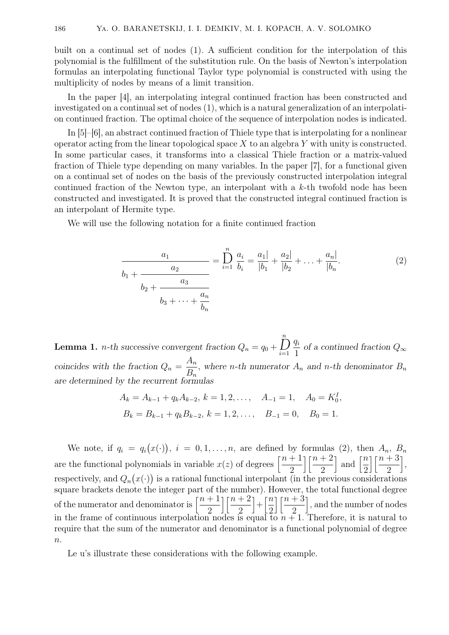built on a continual set of nodes (1). A sufficient condition for the interpolation of this polynomial is the fulfillment of the substitution rule. On the basis of Newton's interpolation formulas an interpolating functional Taylor type polynomial is constructed with using the multiplicity of nodes by means of a limit transition.

In the paper [4], an interpolating integral continued fraction has been constructed and investigated on a continual set of nodes (1), which is a natural generalization of an interpolation continued fraction. The optimal choice of the sequence of interpolation nodes is indicated.

In [5]–[6], an abstract continued fraction of Thiele type that is interpolating for a nonlinear operator acting from the linear topological space  $X$  to an algebra  $Y$  with unity is constructed. In some particular cases, it transforms into a classical Thiele fraction or a matrix-valued fraction of Thiele type depending on many variables. In the paper [7], for a functional given on a continual set of nodes on the basis of the previously constructed interpolation integral continued fraction of the Newton type, an interpolant with a  $k$ -th twofold node has been constructed and investigated. It is proved that the constructed integral continued fraction is an interpolant of Hermite type.

We will use the following notation for a finite continued fraction

$$
\frac{a_1}{b_1 + \frac{a_2}{b_2 + \frac{a_3}{b_3 + \dots + \frac{a_n}{b_n}}}} = \sum_{i=1}^n \frac{a_i}{b_i} = \frac{a_1|}{|b_1|} + \frac{a_2|}{|b_2|} + \dots + \frac{a_n|}{|b_n|}. \tag{2}
$$

**Lemma 1.** *n*-th successive convergent fraction  $Q_n = q_0 +$  $\sum_{i=1}^n$  $q_i$  $\frac{q_1}{1}$  of a continued fraction  $Q_{\infty}$ coincides with the fraction  $Q_n =$  $A_n$  $B_n$ , where *n*-th numerator  $A_n$  and *n*-th denominator  $B_n$ are determined by the recurrent formulas

$$
A_k = A_{k-1} + q_k A_{k-2}, k = 1, 2, ..., \t A_{-1} = 1, \t A_0 = K_0^I,
$$
  

$$
B_k = B_{k-1} + q_k B_{k-2}, k = 1, 2, ..., \t B_{-1} = 0, \t B_0 = 1.
$$

We note, if  $q_i = q_i(x(\cdot))$ ,  $i = 0, 1, \ldots, n$ , are defined by formulas (2), then  $A_n$ ,  $B_n$ are the functional polynomials in variable  $x(z)$  of degrees  $\left[\frac{n+1}{2}\right]$ 2  $\lceil \frac{n + 2}{n} \rceil$ 2 and  $\left[\frac{n}{2}\right]$ 2  $\lceil \frac{n + 3}{2} \rceil$ 2 i , respectively, and  $Q_n(x(\cdot))$  is a rational functional interpolant (in the previous considerations square brackets denote the integer part of the number). However, the total functional degree of the numerator and denominator is  $\left[\frac{n+1}{2}\right]$ 2  $\lfloor \frac{n+2}{2} \rfloor$ 2  $\bigg] + \bigg[ \frac{n}{2} \bigg]$ 2  $\lceil \frac{n + 3}{2} \rceil$ 2 , and the number of nodes in the frame of continuous interpolation nodes is equal to  $n + 1$ . Therefore, it is natural to require that the sum of the numerator and denominator is a functional polynomial of degree  $\overline{n}$ .

Le u's illustrate these considerations with the following example.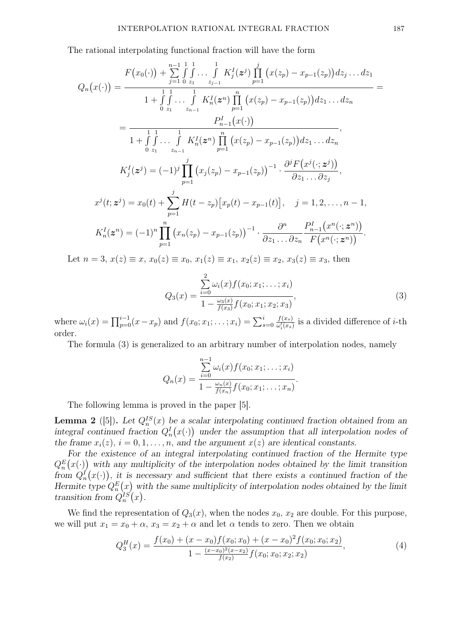The rational interpolating functional fraction will have the form

$$
Q_n(x(\cdot)) = \frac{F(x_0(\cdot)) + \sum_{j=1}^{n-1} \int_{0}^{1} \ldots \int_{0}^{1} K_j^I(z^j) \prod_{p=1}^j (x(z_p) - x_{p-1}(z_p)) dz_1 \ldots dz_1}{1 + \int_{0}^{1} \int_{z_1}^{1} \ldots \int_{z_{n-1}}^{1} K_n^I(z^n) \prod_{p=1}^n (x(z_p) - x_{p-1}(z_p)) dz_1 \ldots dz_n}
$$
  
\n
$$
= \frac{P_{n-1}^I(x(\cdot))}{1 + \int_{0}^{1} \int_{z_1}^{1} \ldots \int_{z_{n-1}}^{1} K_n^I(z^n) \prod_{p=1}^n (x(z_p) - x_{p-1}(z_p)) dz_1 \ldots dz_n},
$$
  
\n
$$
K_j^I(z^j) = (-1)^j \prod_{p=1}^j (x_j(z_p) - x_{p-1}(z_p))^{-1} \cdot \frac{\partial^i F(x^j(\cdot; z^j))}{\partial z_1 \ldots \partial z_j},
$$
  
\n
$$
x^j(t; z^j) = x_0(t) + \sum_{p=1}^j H(t - z_p) [x_p(t) - x_{p-1}(t)], \quad j = 1, 2, \ldots, n - 1,
$$
  
\n
$$
K_n^I(z^n) = (-1)^n \prod_{p=1}^n (x_n(z_p) - x_{p-1}(z_p))^{-1} \cdot \frac{\partial^n}{\partial z_1 \ldots \partial z_n} \frac{P_{n-1}^I(x^n(\cdot; z^n))}{F(x^n(\cdot; z^n))}.
$$
  
\nLet  $n = 3, x(z) \equiv x, x_0(z) \equiv x_0, x_1(z) \equiv x_1, x_2(z) \equiv x_2, x_3(z) \equiv x_3, \text{ then}$ 

 $Q_3(x) =$  $\sum_{ }^{2}$  $i=0$  $\omega_i(x) f(x_0; x_1; \ldots; x_i)$  $1-\frac{\omega_3(x)}{f(x_2)}$  $\frac{\omega_3(x)}{f(x_3)}f(x_0; x_1; x_2; x_3)$  $, \qquad \qquad (3)$ 

where  $\omega_i(x) = \prod_{p=0}^{i-1} (x - x_p)$  and  $f(x_0; x_1; \dots; x_i) = \sum_{s=0}^{i}$  $f(x_s)$  $\frac{f(x_s)}{\omega'_i(x_s)}$  is a divided difference of *i*-th order.

The formula (3) is generalized to an arbitrary number of interpolation nodes, namely

$$
Q_n(x) = \frac{\sum_{i=0}^{n-1} \omega_i(x) f(x_0; x_1; \dots; x_i)}{1 - \frac{\omega_n(x)}{f(x_n)} f(x_0; x_1; \dots; x_n)}.
$$

The following lemma is proved in the paper [5].

**Lemma 2** ([5]). Let  $Q_n^{IS}(x)$  be a scalar interpolating continued fraction obtained from an integral continued fraction  $Q_n^I(x)$  under the assumption that all interpolation nodes of the frame  $x_i(z)$ ,  $i = 0, 1, \ldots, n$ , and the argument  $x(z)$  are identical constants.

For the existence of an integral interpolating continued fraction of the Hermite type  $Q_n^E(x(\cdot))$  with any multiplicity of the interpolation nodes obtained by the limit transition from  $Q_n^I(x(\cdot))$ , it is necessary and sufficient that there exists a continued fraction of the Hermite type  $Q_n^E(x)$  with the same multiplicity of interpolation nodes obtained by the limit transition from  $Q_n^{IS}(x)$ .

We find the representation of  $Q_3(x)$ , when the nodes  $x_0, x_2$  are double. For this purpose, we will put  $x_1 = x_0 + \alpha$ ,  $x_3 = x_2 + \alpha$  and let  $\alpha$  tends to zero. Then we obtain

$$
Q_3^H(x) = \frac{f(x_0) + (x - x_0)f(x_0; x_0) + (x - x_0)^2 f(x_0; x_0; x_2)}{1 - \frac{(x - x_0)^2 (x - x_2)}{f(x_2)} f(x_0; x_0; x_2; x_2)},
$$
\n(4)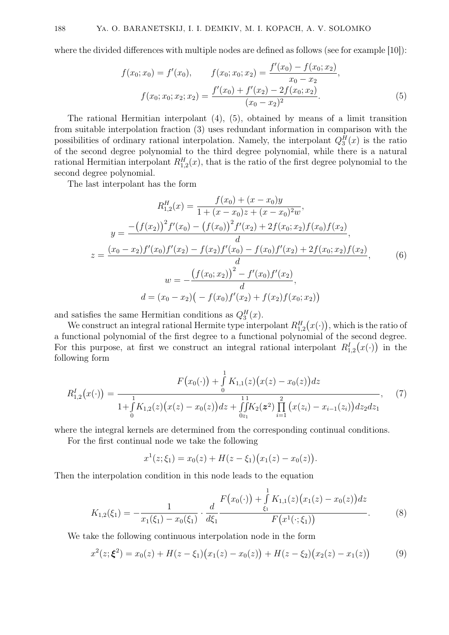where the divided differences with multiple nodes are defined as follows (see for example [10]):

$$
f(x_0; x_0) = f'(x_0), \qquad f(x_0; x_0; x_2) = \frac{f'(x_0) - f(x_0; x_2)}{x_0 - x_2},
$$

$$
f(x_0; x_0; x_2; x_2) = \frac{f'(x_0) + f'(x_2) - 2f(x_0; x_2)}{(x_0 - x_2)^2}.
$$
(5)

The rational Hermitian interpolant (4), (5), obtained by means of a limit transition from suitable interpolation fraction (3) uses redundant information in comparison with the possibilities of ordinary rational interpolation. Namely, the interpolant  $Q_3^H(x)$  is the ratio of the second degree polynomial to the third degree polynomial, while there is a natural rational Hermitian interpolant  $R_{1,2}^H(x)$ , that is the ratio of the first degree polynomial to the second degree polynomial.

The last interpolant has the form

$$
R_{1,2}^{H}(x) = \frac{f(x_0) + (x - x_0)y}{1 + (x - x_0)z + (x - x_0)^2 w},
$$
  
\n
$$
y = \frac{-\left(f(x_2)\right)^2 f'(x_0) - \left(f(x_0)\right)^2 f'(x_2) + 2f(x_0; x_2)f(x_0)f(x_2)}{d},
$$
  
\n
$$
z = \frac{(x_0 - x_2)f'(x_0)f'(x_2) - f(x_2)f'(x_0) - f(x_0)f'(x_2) + 2f(x_0; x_2)f(x_2)}{d},
$$
  
\n
$$
w = -\frac{\left(f(x_0; x_2)\right)^2 - f'(x_0)f'(x_2)}{d},
$$
  
\n
$$
d = (x_0 - x_2)\left(-f(x_0)f'(x_2) + f(x_2)f(x_0; x_2)\right)
$$
\n(6)

and satisfies the same Hermitian conditions as  $Q_3^H(x)$ .

We construct an integral rational Hermite type interpolant  $R_{1,2}^H(x(\cdot))$ , which is the ratio of a functional polynomial of the first degree to a functional polynomial of the second degree. For this purpose, at first we construct an integral rational interpolant  $R_{1,2}^I(x(\cdot))$  in the following form

$$
R_{1,2}^{I}(x(\cdot)) = \frac{F(x_0(\cdot)) + \int_{0}^{1} K_{1,1}(z)(x(z) - x_0(z))dz}{1 + \int_{0}^{1} K_{1,2}(z)(x(z) - x_0(z))dz + \int_{0}^{11} K_{2}(z^{2}) \prod_{i=1}^{2} (x(z_i) - x_{i-1}(z_i))dz_{2}dz_{1}},
$$
(7)

where the integral kernels are determined from the corresponding continual conditions.

For the first continual node we take the following

$$
x^{1}(z; \xi_{1}) = x_{0}(z) + H(z - \xi_{1}) (x_{1}(z) - x_{0}(z)).
$$

Then the interpolation condition in this node leads to the equation

$$
K_{1,2}(\xi_1) = -\frac{1}{x_1(\xi_1) - x_0(\xi_1)} \cdot \frac{d}{d\xi_1} \frac{F(x_0(\cdot)) + \int_{\xi_1}^1 K_{1,1}(z) (x_1(z) - x_0(z)) dz}{F(x^1(\cdot; \xi_1))}.
$$
(8)

We take the following continuous interpolation node in the form

$$
x^{2}(z; \xi^{2}) = x_{0}(z) + H(z - \xi_{1})\big(x_{1}(z) - x_{0}(z)\big) + H(z - \xi_{2})\big(x_{2}(z) - x_{1}(z)\big) \tag{9}
$$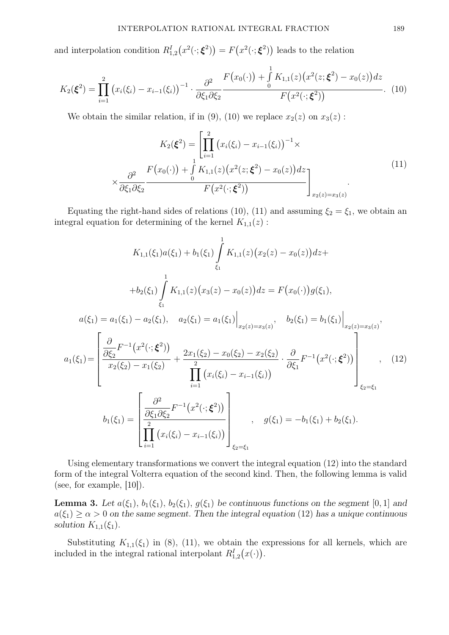and interpolation condition  $R_{1,2}^I(x^2(\cdot;\xi^2)) = F(x^2(\cdot;\xi^2))$  leads to the relation

$$
K_2(\boldsymbol{\xi}^2) = \prod_{i=1}^2 (x_i(\xi_i) - x_{i-1}(\xi_i))^{-1} \cdot \frac{\partial^2}{\partial \xi_1 \partial \xi_2} \frac{F(x_0(\cdot)) + \int_0^1 K_{1,1}(z) (x^2(z;\boldsymbol{\xi}^2) - x_0(z)) dz}{F(x^2(\cdot;\boldsymbol{\xi}^2))}.
$$
 (10)

We obtain the similar relation, if in (9), (10) we replace  $x_2(z)$  on  $x_3(z)$ :

$$
K_2(\xi^2) = \left[ \prod_{i=1}^2 (x_i(\xi_i) - x_{i-1}(\xi_i))^{-1} \times \frac{\partial^2}{\partial \xi_1 \partial \xi_2} \frac{F(x_0(\cdot)) + \int_0^1 K_{1,1}(z) (x^2(z;\xi^2) - x_0(z)) dz}{F(x^2(\cdot;\xi^2))} \right]_{x_2(z) = x_3(z)} \tag{11}
$$

Equating the right-hand sides of relations (10), (11) and assuming  $\xi_2 = \xi_1$ , we obtain an integral equation for determining of the kernel  $K_{1,1}(z)$ :

$$
K_{1,1}(\xi_1)a(\xi_1) + b_1(\xi_1) \int_{\xi_1}^{1} K_{1,1}(z)(x_2(z) - x_0(z))dz +
$$
  
\n
$$
+b_2(\xi_1) \int_{\xi_1}^{1} K_{1,1}(z)(x_3(z) - x_0(z))dz = F(x_0(\cdot))g(\xi_1),
$$
  
\n
$$
a(\xi_1) = a_1(\xi_1) - a_2(\xi_1), \quad a_2(\xi_1) = a_1(\xi_1) \Big|_{x_2(z) = x_3(z)}, \quad b_2(\xi_1) = b_1(\xi_1) \Big|_{x_2(z) = x_3(z)},
$$
  
\n
$$
a_1(\xi_1) = \left[ \frac{\partial}{\partial \xi_2} F^{-1}(x^2(\cdot; \xi^2)) + \frac{2x_1(\xi_2) - x_0(\xi_2) - x_2(\xi_2)}{\prod_{i=1}^2 (x_i(\xi_i) - x_{i-1}(\xi_i))} \cdot \frac{\partial}{\partial \xi_1} F^{-1}(x^2(\cdot; \xi^2)) \right]_{\xi_2 = \xi_1},
$$
  
\n
$$
b_1(\xi_1) = \left[ \frac{\partial^2}{\partial \xi_1 \partial \xi_2} F^{-1}(x^2(\cdot; \xi^2)) \right]_{\xi_2 = \xi_1}, \quad g(\xi_1) = -b_1(\xi_1) + b_2(\xi_1).
$$
  
\n(12)  
\n
$$
\prod_{i=1}^2 (x_i(\xi_i) - x_{i-1}(\xi_i)) \right]_{\xi_2 = \xi_1}
$$

Using elementary transformations we convert the integral equation (12) into the standard form of the integral Volterra equation of the second kind. Then, the following lemma is valid (see, for example, [10]).

**Lemma 3.** Let  $a(\xi_1)$ ,  $b_1(\xi_1)$ ,  $b_2(\xi_1)$ ,  $g(\xi_1)$  be continuous functions on the segment [0, 1] and  $a(\xi_1) \geq \alpha > 0$  on the same segment. Then the integral equation (12) has a unique continuous solution  $K_{1,1}(\xi_1)$ .

Substituting  $K_{1,1}(\xi_1)$  in (8), (11), we obtain the expressions for all kernels, which are included in the integral rational interpolant  $R_{1,2}^I(x(\cdot))$ .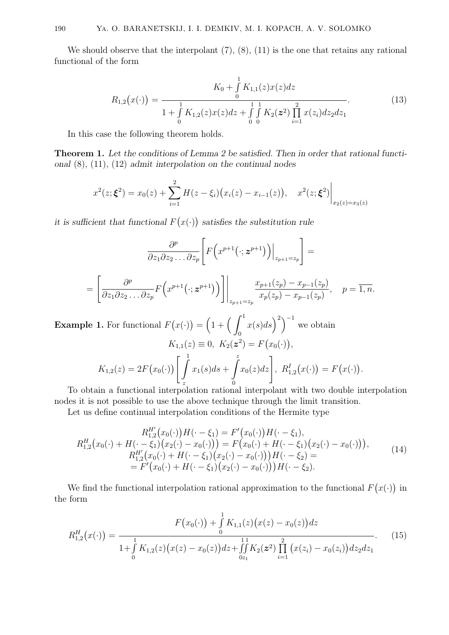We should observe that the interpolant  $(7)$ ,  $(8)$ ,  $(11)$  is the one that retains any rational functional of the form

$$
R_{1,2}(x(\cdot)) = \frac{K_0 + \int_0^1 K_{1,1}(z)x(z)dz}{1 + \int_0^1 K_{1,2}(z)x(z)dz + \int_0^1 \int_0^1 K_2(z^2) \prod_{i=1}^2 x(z_i)dz_2dz_1}.
$$
(13)

In this case the following theorem holds.

Theorem 1. Let the conditions of Lemma 2 be satisfied. Then in order that rational functional (8), (11), (12) admit interpolation on the continual nodes

$$
x^{2}(z; \xi^{2}) = x_{0}(z) + \sum_{i=1}^{2} H(z - \xi_{i}) (x_{i}(z) - x_{i-1}(z)), \quad x^{2}(z; \xi^{2})\Big|_{x_{2}(z) = x_{3}(z)}
$$

it is sufficient that functional  $F(x(\cdot))$  satisfies the substitution rule

$$
\frac{\partial^p}{\partial z_1 \partial z_2 \dots \partial z_p} \left[ F\left( x^{p+1}(\cdot; z^{p+1}) \right) \Big|_{z_{p+1}=z_p} \right] =
$$
\n
$$
= \left[ \frac{\partial^p}{\partial z_1 \partial z_2 \dots \partial z_p} F\left( x^{p+1}(\cdot; z^{p+1}) \right) \right] \Big|_{z_{p+1}=z_p} \frac{x_{p+1}(z_p) - x_{p-1}(z_p)}{x_p(z_p) - x_{p-1}(z_p)}, \quad p = \overline{1, n}.
$$

**Example 1.** For functional  $F(x(\cdot)) = (1 + (\int_0^1$ 0  $x(s)ds\big)^2$ <sup>-1</sup> we obtain  $K_{1,1}(z) \equiv 0, K_2(z^2) = F(x_0(\cdot)),$  $K_{1,2}(z) = 2F(x_0(\cdot)) \begin{bmatrix} 1 \end{bmatrix}$ z  $x_1(s)ds +$  $\int_{0}^{z}$  $\mathbf{0}$  $x_0(z)dz\bigg],\,\,R_{1,2}^I\big(x(\cdot)\big)=F\big(x(\cdot)\big).$ 

To obtain a functional interpolation rational interpolant with two double interpolation nodes it is not possible to use the above technique through the limit transition.

Let us define continual interpolation conditions of the Hermite type

$$
R_{1,2}^{H'}(x_0(\cdot))H(\cdot-\xi_1) = F'(x_0(\cdot))H(\cdot-\xi_1),
$$
  
\n
$$
R_{1,2}^{H'}(x_0(\cdot)+H(\cdot-\xi_1)(x_2(\cdot)-x_0(\cdot))) = F(x_0(\cdot)+H(\cdot-\xi_1)(x_2(\cdot)-x_0(\cdot))),
$$
  
\n
$$
R_{1,2}^{H'}(x_0(\cdot)+H(\cdot-\xi_1)(x_2(\cdot)-x_0(\cdot)))H(\cdot-\xi_2) =
$$
  
\n
$$
= F'(x_0(\cdot)+H(\cdot-\xi_1)(x_2(\cdot)-x_0(\cdot)))H(\cdot-\xi_2).
$$
\n(14)

We find the functional interpolation rational approximation to the functional  $F(x(\cdot))$  in the form

$$
R_{1,2}^{H}(x(\cdot)) = \frac{F(x_0(\cdot)) + \int_{0}^{1} K_{1,1}(z) (x(z) - x_0(z)) dz}{1 + \int_{0}^{1} K_{1,2}(z) (x(z) - x_0(z)) dz + \int_{0}^{11} K_{2}(z^{2}) \prod_{i=1}^{2} (x(z_i) - x_0(z_i)) dz_{2} dz_{1}}.
$$
(15)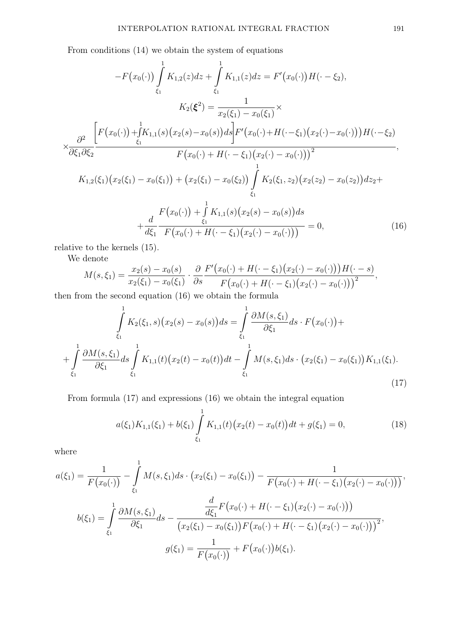From conditions (14) we obtain the system of equations

$$
-F(x_0(\cdot))\int_{\xi_1}^{1} K_{1,2}(z)dz + \int_{\xi_1}^{1} K_{1,1}(z)dz = F'(x_0(\cdot))H(\cdot - \xi_2),
$$
  
\n
$$
K_2(\xi^2) = \frac{1}{x_2(\xi_1) - x_0(\xi_1)} \times
$$
  
\n
$$
\times \frac{\partial^2}{\partial \xi_1 \partial \xi_2} \frac{\left[F(x_0(\cdot)) + \int_{\xi_1}^{1} K_{1,1}(s)(x_2(s) - x_0(s))ds\right]F'(x_0(\cdot) + H(\cdot - \xi_1)(x_2(\cdot) - x_0(\cdot)))H(\cdot - \xi_2)}{F(x_0(\cdot) + H(\cdot - \xi_1)(x_2(\cdot) - x_0(\cdot)))^2},
$$
  
\n
$$
K_{1,2}(\xi_1)(x_2(\xi_1) - x_0(\xi_1)) + (x_2(\xi_1) - x_0(\xi_2))\int_{\xi_1}^{1} K_2(\xi_1, z_2)(x_2(z_2) - x_0(z_2))dz_2 + \xi_1
$$
  
\n
$$
+ \frac{d}{d\xi_1} \frac{F(x_0(\cdot)) + \int_{\xi_1}^{1} K_{1,1}(s)(x_2(s) - x_0(s))ds}{F(x_0(\cdot) + H(\cdot - \xi_1)(x_2(\cdot) - x_0(\cdot)))} = 0,
$$
 (16)

relative to the kernels (15).

We denote

denote  
\n
$$
M(s,\xi_1) = \frac{x_2(s) - x_0(s)}{x_2(\xi_1) - x_0(\xi_1)} \cdot \frac{\partial F'(x_0(\cdot) + H(\cdot - \xi_1)(x_2(\cdot) - x_0(\cdot)))H(\cdot - s)}{F(x_0(\cdot) + H(\cdot - \xi_1)(x_2(\cdot) - x_0(\cdot)))^2},
$$

then from the second equation (16) we obtain the formula

$$
\int_{\xi_1}^{1} K_2(\xi_1, s) (x_2(s) - x_0(s)) ds = \int_{\xi_1}^{1} \frac{\partial M(s, \xi_1)}{\partial \xi_1} ds \cdot F(x_0(\cdot)) + + \int_{\xi_1}^{1} \frac{\partial M(s, \xi_1)}{\partial \xi_1} ds \int_{\xi_1}^{1} K_{1,1}(t) (x_2(t) - x_0(t)) dt - \int_{\xi_1}^{1} M(s, \xi_1) ds \cdot (x_2(\xi_1) - x_0(\xi_1)) K_{1,1}(\xi_1).
$$
\n(17)

From formula (17) and expressions (16) we obtain the integral equation

$$
a(\xi_1)K_{1,1}(\xi_1) + b(\xi_1) \int\limits_{\xi_1}^1 K_{1,1}(t) \big(x_2(t) - x_0(t)\big) dt + g(\xi_1) = 0,\tag{18}
$$

where

$$
a(\xi_1) = \frac{1}{F(x_0(\cdot))} - \int_{\xi_1}^{1} M(s, \xi_1) ds \cdot (x_2(\xi_1) - x_0(\xi_1)) - \frac{1}{F(x_0(\cdot) + H(\cdot - \xi_1)(x_2(\cdot) - x_0(\cdot)))},
$$
  

$$
b(\xi_1) = \int_{\xi_1}^{1} \frac{\partial M(s, \xi_1)}{\partial \xi_1} ds - \frac{\frac{d}{d\xi_1} F(x_0(\cdot) + H(\cdot - \xi_1)(x_2(\cdot) - x_0(\cdot)))}{(x_2(\xi_1) - x_0(\xi_1))F(x_0(\cdot) + H(\cdot - \xi_1)(x_2(\cdot) - x_0(\cdot)))^2},
$$
  

$$
g(\xi_1) = \frac{1}{F(x_0(\cdot))} + F(x_0(\cdot))b(\xi_1).
$$